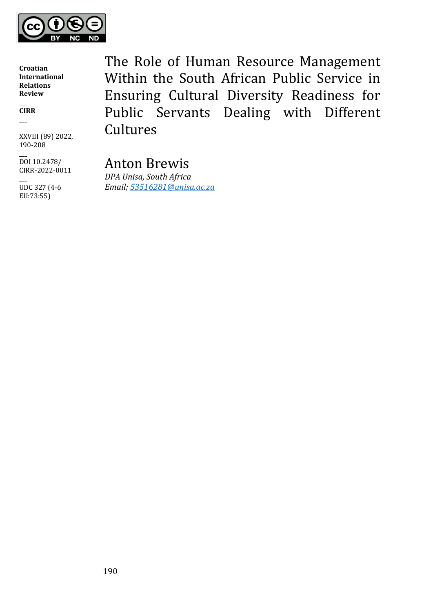

 $\overline{\phantom{a}}$ **CIRR** \_\_\_

XXVIII (89) 2022, 190-208

 $\overline{\phantom{a}}$ DOI 10.2478/ CIRR-2022-0011

 $\overline{\phantom{a}}$ UDC 327 (4-6 EU:73:55)

The Role of Human Resource Management Within the South African Public Service in Ensuring Cultural Diversity Readiness for Public Servants Dealing with Different **Cultures** 

Anton Brewis *DPA Unisa, South Africa Email; [53516281@unisa.ac.za](mailto:53516281@unisa.ac.za)*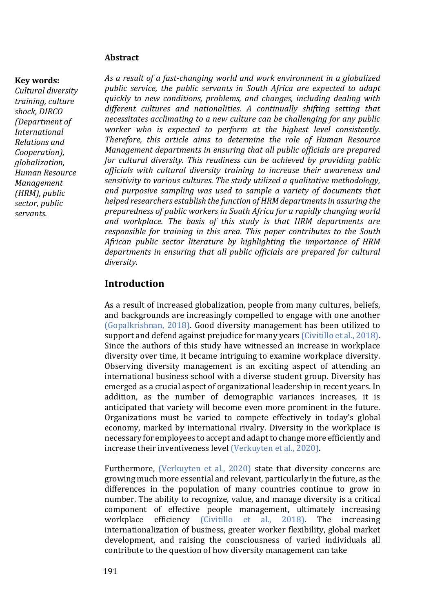#### **Abstract**

#### **Key words:**

*Cultural diversity training, culture shock, DIRCO (Department of International Relations and Cooperation), globalization, Human Resource Management (HRM), public sector, public servants.*

*As a result of a fast-changing world and work environment in a globalized public service, the public servants in South Africa are expected to adapt quickly to new conditions, problems, and changes, including dealing with different cultures and nationalities. A continually shifting setting that necessitates acclimating to a new culture can be challenging for any public worker who is expected to perform at the highest level consistently. Therefore, this article aims to determine the role of Human Resource Management departments in ensuring that all public officials are prepared for cultural diversity. This readiness can be achieved by providing public officials with cultural diversity training to increase their awareness and sensitivity to various cultures. The study utilized a qualitative methodology, and purposive sampling was used to sample a variety of documents that helped researchers establish the function of HRM departments in assuring the preparedness of public workers in South Africa for a rapidly changing world and workplace. The basis of this study is that HRM departments are responsible for training in this area. This paper contributes to the South African public sector literature by highlighting the importance of HRM departments in ensuring that all public officials are prepared for cultural diversity.*

## **Introduction**

As a result of increased globalization, people from many cultures, beliefs, and backgrounds are increasingly compelled to engage with one another (Gopalkrishnan, 2018). Good diversity management has been utilized to support and defend against prejudice for many years (Civitillo et al., 2018). Since the authors of this study have witnessed an increase in workplace diversity over time, it became intriguing to examine workplace diversity. Observing diversity management is an exciting aspect of attending an international business school with a diverse student group. Diversity has emerged as a crucial aspect of organizational leadership in recent years. In addition, as the number of demographic variances increases, it is anticipated that variety will become even more prominent in the future. Organizations must be varied to compete effectively in today's global economy, marked by international rivalry. Diversity in the workplace is necessary for employees to accept and adapt to change more efficiently and increase their inventiveness level (Verkuyten et al., 2020).

Furthermore, (Verkuyten et al., 2020) state that diversity concerns are growing much more essential and relevant, particularly in the future, as the differences in the population of many countries continue to grow in number. The ability to recognize, value, and manage diversity is a critical component of effective people management, ultimately increasing workplace efficiency (Civitillo et al., 2018). The increasing internationalization of business, greater worker flexibility, global market development, and raising the consciousness of varied individuals all contribute to the question of how diversity management can take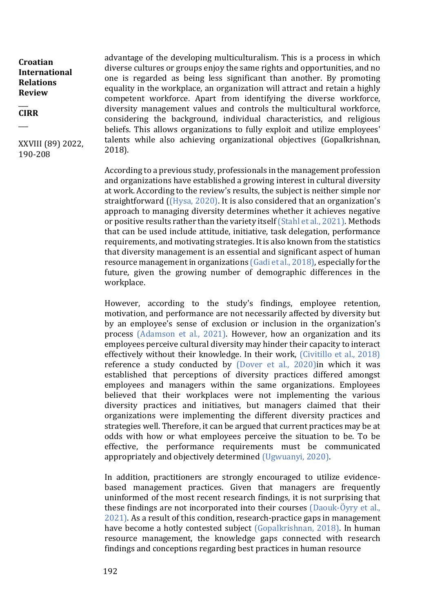$\overline{\phantom{a}}$ **CIRR**

 $\overline{\phantom{a}}$ 

XXVIII (89) 2022, 190-208

advantage of the developing multiculturalism. This is a process in which diverse cultures or groups enjoy the same rights and opportunities, and no one is regarded as being less significant than another. By promoting equality in the workplace, an organization will attract and retain a highly competent workforce. Apart from identifying the diverse workforce, diversity management values and controls the multicultural workforce, considering the background, individual characteristics, and religious beliefs. This allows organizations to fully exploit and utilize employees' talents while also achieving organizational objectives (Gopalkrishnan, 2018).

According to a previous study, professionals in the management profession and organizations have established a growing interest in cultural diversity at work. According to the review's results, the subject is neither simple nor straightforward ((Hysa, 2020). It is also considered that an organization's approach to managing diversity determines whether it achieves negative or positive results rather than the variety itself (Stahl et al., 2021). Methods that can be used include attitude, initiative, task delegation, performance requirements, and motivating strategies. It is also known from the statistics that diversity management is an essential and significant aspect of human resource management in organizations (Gadi et al., 2018), especially for the future, given the growing number of demographic differences in the workplace.

However, according to the study's findings, employee retention, motivation, and performance are not necessarily affected by diversity but by an employee's sense of exclusion or inclusion in the organization's process (Adamson et al., 2021). However, how an organization and its employees perceive cultural diversity may hinder their capacity to interact effectively without their knowledge. In their work, (Civitillo et al., 2018) reference a study conducted by (Dover et al., 2020)in which it was established that perceptions of diversity practices differed amongst employees and managers within the same organizations. Employees believed that their workplaces were not implementing the various diversity practices and initiatives, but managers claimed that their organizations were implementing the different diversity practices and strategies well. Therefore, it can be argued that current practices may be at odds with how or what employees perceive the situation to be. To be effective, the performance requirements must be communicated appropriately and objectively determined (Ugwuanyi, 2020).

In addition, practitioners are strongly encouraged to utilize evidencebased management practices. Given that managers are frequently uninformed of the most recent research findings, it is not surprising that these findings are not incorporated into their courses (Daouk‐Öyry et al., 2021). As a result of this condition, research-practice gaps in management have become a hotly contested subject (Gopalkrishnan, 2018). In human resource management, the knowledge gaps connected with research findings and conceptions regarding best practices in human resource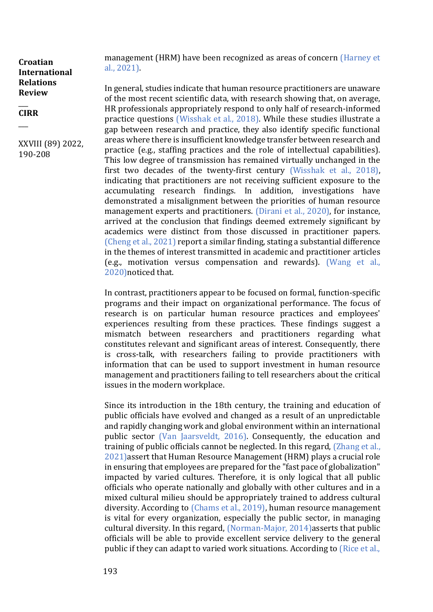#### $\overline{\phantom{a}}$ **CIRR**

 $\overline{\phantom{a}}$ 

XXVIII (89) 2022, 190-208

management (HRM) have been recognized as areas of concern (Harney et al., 2021).

In general, studies indicate that human resource practitioners are unaware of the most recent scientific data, with research showing that, on average, HR professionals appropriately respond to only half of research-informed practice questions (Wisshak et al., 2018). While these studies illustrate a gap between research and practice, they also identify specific functional areas where there is insufficient knowledge transfer between research and practice (e.g., staffing practices and the role of intellectual capabilities). This low degree of transmission has remained virtually unchanged in the first two decades of the twenty-first century (Wisshak et al., 2018), indicating that practitioners are not receiving sufficient exposure to the accumulating research findings. In addition, investigations have demonstrated a misalignment between the priorities of human resource management experts and practitioners. (Dirani et al., 2020), for instance, arrived at the conclusion that findings deemed extremely significant by academics were distinct from those discussed in practitioner papers. (Cheng et al., 2021) report a similar finding, stating a substantial difference in the themes of interest transmitted in academic and practitioner articles (e.g., motivation versus compensation and rewards). (Wang et al., 2020)noticed that.

In contrast, practitioners appear to be focused on formal, function-specific programs and their impact on organizational performance. The focus of research is on particular human resource practices and employees' experiences resulting from these practices. These findings suggest a mismatch between researchers and practitioners regarding what constitutes relevant and significant areas of interest. Consequently, there is cross-talk, with researchers failing to provide practitioners with information that can be used to support investment in human resource management and practitioners failing to tell researchers about the critical issues in the modern workplace.

Since its introduction in the 18th century, the training and education of public officials have evolved and changed as a result of an unpredictable and rapidly changing work and global environment within an international public sector (Van Jaarsveldt, 2016). Consequently, the education and training of public officials cannot be neglected. In this regard, (Zhang et al., 2021)assert that Human Resource Management (HRM) plays a crucial role in ensuring that employees are prepared for the "fast pace of globalization" impacted by varied cultures. Therefore, it is only logical that all public officials who operate nationally and globally with other cultures and in a mixed cultural milieu should be appropriately trained to address cultural diversity. According to (Chams et al., 2019), human resource management is vital for every organization, especially the public sector, in managing cultural diversity. In this regard, (Norman-Major, 2014)asserts that public officials will be able to provide excellent service delivery to the general public if they can adapt to varied work situations. According to (Rice et al.,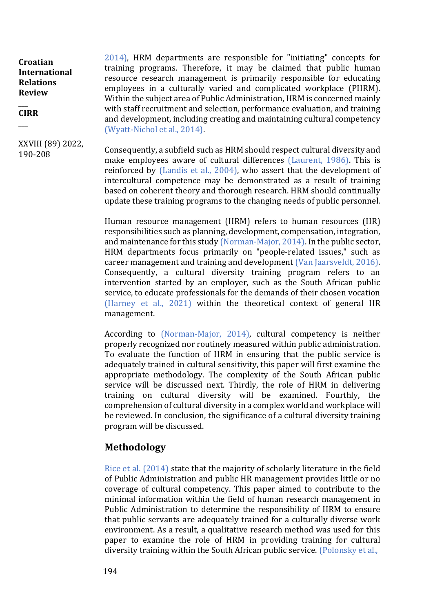#### $\overline{\phantom{a}}$ **CIRR**

 $\overline{\phantom{a}}$ 

XXVIII (89) 2022, 190-208

2014), HRM departments are responsible for "initiating" concepts for training programs. Therefore, it may be claimed that public human resource research management is primarily responsible for educating employees in a culturally varied and complicated workplace (PHRM). Within the subject area of Public Administration, HRM is concerned mainly with staff recruitment and selection, performance evaluation, and training and development, including creating and maintaining cultural competency (Wyatt-Nichol et al., 2014).

Consequently, a subfield such as HRM should respect cultural diversity and make employees aware of cultural differences (Laurent, 1986). This is reinforced by (Landis et al., 2004), who assert that the development of intercultural competence may be demonstrated as a result of training based on coherent theory and thorough research. HRM should continually update these training programs to the changing needs of public personnel.

Human resource management (HRM) refers to human resources (HR) responsibilities such as planning, development, compensation, integration, and maintenance for this study (Norman-Major, 2014). In the public sector, HRM departments focus primarily on "people-related issues," such as career management and training and development (Van Jaarsveldt, 2016). Consequently, a cultural diversity training program refers to an intervention started by an employer, such as the South African public service, to educate professionals for the demands of their chosen vocation (Harney et al., 2021) within the theoretical context of general HR management.

According to (Norman-Major, 2014), cultural competency is neither properly recognized nor routinely measured within public administration. To evaluate the function of HRM in ensuring that the public service is adequately trained in cultural sensitivity, this paper will first examine the appropriate methodology. The complexity of the South African public service will be discussed next. Thirdly, the role of HRM in delivering training on cultural diversity will be examined. Fourthly, the comprehension of cultural diversity in a complex world and workplace will be reviewed. In conclusion, the significance of a cultural diversity training program will be discussed.

## **Methodology**

Rice et al. (2014) state that the majority of scholarly literature in the field of Public Administration and public HR management provides little or no coverage of cultural competency. This paper aimed to contribute to the minimal information within the field of human research management in Public Administration to determine the responsibility of HRM to ensure that public servants are adequately trained for a culturally diverse work environment. As a result, a qualitative research method was used for this paper to examine the role of HRM in providing training for cultural diversity training within the South African public service. (Polonsky et al.,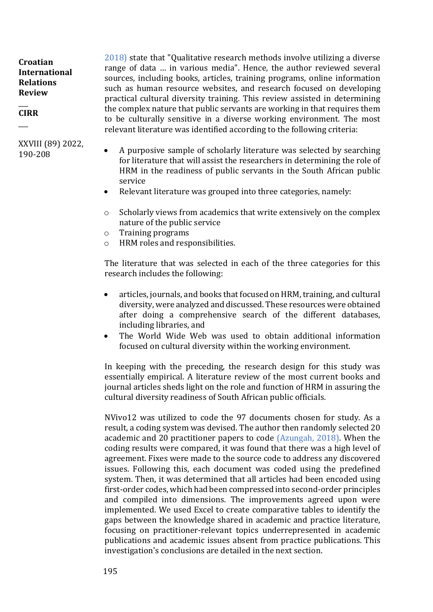$\overline{\phantom{a}}$ **CIRR**

 $\overline{\phantom{a}}$ 

XXVIII (89) 2022, 190-208

2018) state that "Qualitative research methods involve utilizing a diverse range of data … in various media". Hence, the author reviewed several sources, including books, articles, training programs, online information such as human resource websites, and research focused on developing practical cultural diversity training. This review assisted in determining the complex nature that public servants are working in that requires them to be culturally sensitive in a diverse working environment. The most relevant literature was identified according to the following criteria:

- A purposive sample of scholarly literature was selected by searching for literature that will assist the researchers in determining the role of HRM in the readiness of public servants in the South African public service
- Relevant literature was grouped into three categories, namely:
- o Scholarly views from academics that write extensively on the complex nature of the public service
- o Training programs
- o HRM roles and responsibilities.

The literature that was selected in each of the three categories for this research includes the following:

- articles, journals, and books that focused on HRM, training, and cultural diversity, were analyzed and discussed. These resources were obtained after doing a comprehensive search of the different databases, including libraries, and
- The World Wide Web was used to obtain additional information focused on cultural diversity within the working environment.

In keeping with the preceding, the research design for this study was essentially empirical. A literature review of the most current books and journal articles sheds light on the role and function of HRM in assuring the cultural diversity readiness of South African public officials.

NVivo12 was utilized to code the 97 documents chosen for study. As a result, a coding system was devised. The author then randomly selected 20 academic and 20 practitioner papers to code (Azungah, 2018). When the coding results were compared, it was found that there was a high level of agreement. Fixes were made to the source code to address any discovered issues. Following this, each document was coded using the predefined system. Then, it was determined that all articles had been encoded using first-order codes, which had been compressed into second-order principles and compiled into dimensions. The improvements agreed upon were implemented. We used Excel to create comparative tables to identify the gaps between the knowledge shared in academic and practice literature, focusing on practitioner-relevant topics underrepresented in academic publications and academic issues absent from practice publications. This investigation's conclusions are detailed in the next section.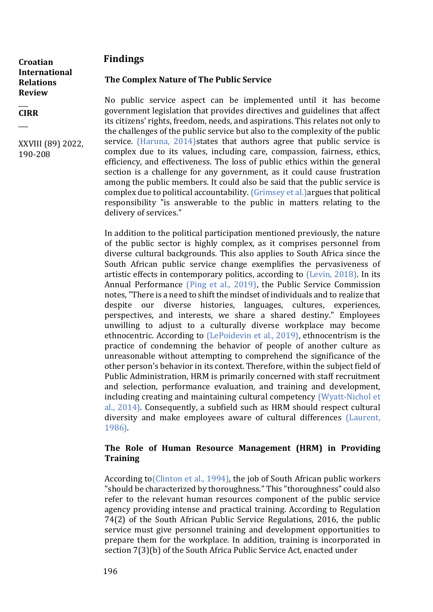## **Findings**

**Croatian International Relations Review** 

 $\overline{\phantom{a}}$ **CIRR**

 $\overline{\phantom{a}}$ 

XXVIII (89) 2022, 190-208

## **The Complex Nature of The Public Service**

No public service aspect can be implemented until it has become government legislation that provides directives and guidelines that affect its citizens' rights, freedom, needs, and aspirations. This relates not only to the challenges of the public service but also to the complexity of the public service. (Haruna, 2014)states that authors agree that public service is complex due to its values, including care, compassion, fairness, ethics, efficiency, and effectiveness. The loss of public ethics within the general section is a challenge for any government, as it could cause frustration among the public members. It could also be said that the public service is complex due to political accountability. (Grimsey et al.)argues that political responsibility "is answerable to the public in matters relating to the delivery of services."

In addition to the political participation mentioned previously, the nature of the public sector is highly complex, as it comprises personnel from diverse cultural backgrounds. This also applies to South Africa since the South African public service change exemplifies the pervasiveness of artistic effects in contemporary politics, according to (Levin, 2018). In its Annual Performance (Ping et al., 2019), the Public Service Commission notes, "There is a need to shift the mindset of individuals and to realize that despite our diverse histories, languages, cultures, experiences, perspectives, and interests, we share a shared destiny." Employees unwilling to adjust to a culturally diverse workplace may become ethnocentric. According to (LePoidevin et al., 2019), ethnocentrism is the practice of condemning the behavior of people of another culture as unreasonable without attempting to comprehend the significance of the other person's behavior in its context. Therefore, within the subject field of Public Administration, HRM is primarily concerned with staff recruitment and selection, performance evaluation, and training and development, including creating and maintaining cultural competency (Wyatt-Nichol et al., 2014). Consequently, a subfield such as HRM should respect cultural diversity and make employees aware of cultural differences (Laurent, 1986).

## **The Role of Human Resource Management (HRM) in Providing Training**

According to(Clinton et al., 1994), the job of South African public workers "should be characterized by thoroughness." This "thoroughness" could also refer to the relevant human resources component of the public service agency providing intense and practical training. According to Regulation 74(2) of the South African Public Service Regulations, 2016, the public service must give personnel training and development opportunities to prepare them for the workplace. In addition, training is incorporated in section 7(3)(b) of the South Africa Public Service Act, enacted under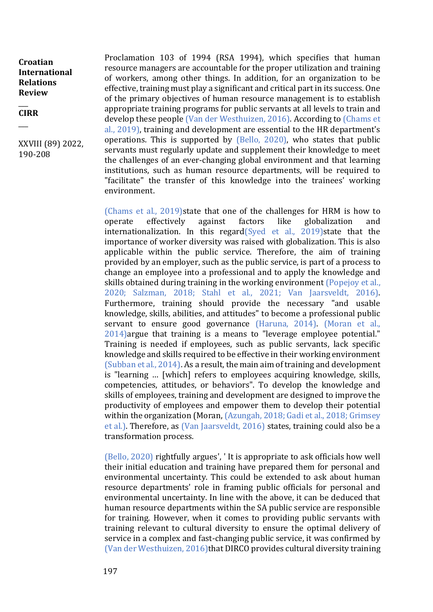$\overline{\phantom{a}}$ **CIRR**

 $\overline{\phantom{a}}$ 

XXVIII (89) 2022, 190-208

Proclamation 103 of 1994 (RSA 1994), which specifies that human resource managers are accountable for the proper utilization and training of workers, among other things. In addition, for an organization to be effective, training must play a significant and critical part in its success. One of the primary objectives of human resource management is to establish appropriate training programs for public servants at all levels to train and develop these people (Van der Westhuizen, 2016). According to (Chams et al., 2019), training and development are essential to the HR department's operations. This is supported by (Bello, 2020), who states that public servants must regularly update and supplement their knowledge to meet the challenges of an ever-changing global environment and that learning institutions, such as human resource departments, will be required to "facilitate" the transfer of this knowledge into the trainees' working environment.

(Chams et al., 2019)state that one of the challenges for HRM is how to operate effectively against factors like globalization and internationalization. In this regard(Syed et al., 2019) state that the importance of worker diversity was raised with globalization. This is also applicable within the public service. Therefore, the aim of training provided by an employer, such as the public service, is part of a process to change an employee into a professional and to apply the knowledge and skills obtained during training in the working environment (Popejoy et al., 2020; Salzman, 2018; Stahl et al., 2021; Van Jaarsveldt, 2016). Furthermore, training should provide the necessary "and usable knowledge, skills, abilities, and attitudes" to become a professional public servant to ensure good governance (Haruna, 2014). (Moran et al., 2014)argue that training is a means to "leverage employee potential." Training is needed if employees, such as public servants, lack specific knowledge and skills required to be effective in their working environment (Subban et al., 2014). As a result, the main aim of training and development is "learning … [which] refers to employees acquiring knowledge, skills, competencies, attitudes, or behaviors". To develop the knowledge and skills of employees, training and development are designed to improve the productivity of employees and empower them to develop their potential within the organization (Moran, (Azungah, 2018; Gadi et al., 2018; Grimsey et al.). Therefore, as (Van Jaarsveldt, 2016) states, training could also be a transformation process.

(Bello, 2020) rightfully argues', ' It is appropriate to ask officials how well their initial education and training have prepared them for personal and environmental uncertainty. This could be extended to ask about human resource departments' role in framing public officials for personal and environmental uncertainty. In line with the above, it can be deduced that human resource departments within the SA public service are responsible for training. However, when it comes to providing public servants with training relevant to cultural diversity to ensure the optimal delivery of service in a complex and fast-changing public service, it was confirmed by (Van der Westhuizen, 2016)that DIRCO provides cultural diversity training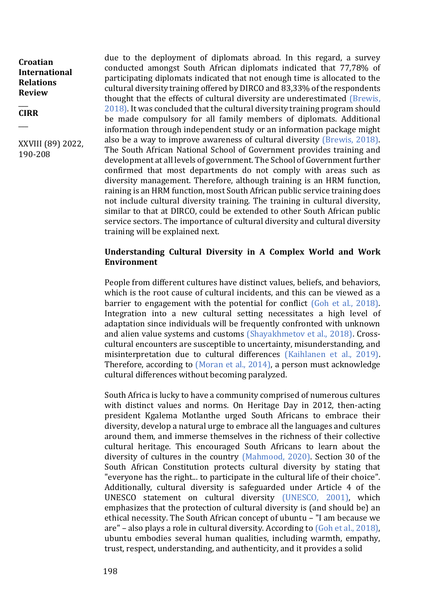#### $\overline{\phantom{a}}$ **CIRR**

 $\overline{\phantom{a}}$ 

XXVIII (89) 2022, 190-208

due to the deployment of diplomats abroad. In this regard, a survey conducted amongst South African diplomats indicated that 77,78% of participating diplomats indicated that not enough time is allocated to the cultural diversity training offered by DIRCO and 83,33% of the respondents thought that the effects of cultural diversity are underestimated (Brewis, 2018). It was concluded that the cultural diversity training program should be made compulsory for all family members of diplomats. Additional information through independent study or an information package might also be a way to improve awareness of cultural diversity (Brewis, 2018). The South African National School of Government provides training and development at all levels of government. The School of Government further confirmed that most departments do not comply with areas such as diversity management. Therefore, although training is an HRM function, raining is an HRM function, most South African public service training does not include cultural diversity training. The training in cultural diversity, similar to that at DIRCO, could be extended to other South African public service sectors. The importance of cultural diversity and cultural diversity training will be explained next.

### **Understanding Cultural Diversity in A Complex World and Work Environment**

People from different cultures have distinct values, beliefs, and behaviors, which is the root cause of cultural incidents, and this can be viewed as a barrier to engagement with the potential for conflict (Goh et al., 2018). Integration into a new cultural setting necessitates a high level of adaptation since individuals will be frequently confronted with unknown and alien value systems and customs (Shayakhmetov et al., 2018). Crosscultural encounters are susceptible to uncertainty, misunderstanding, and misinterpretation due to cultural differences (Kaihlanen et al., 2019). Therefore, according to (Moran et al., 2014), a person must acknowledge cultural differences without becoming paralyzed.

South Africa is lucky to have a community comprised of numerous cultures with distinct values and norms. On Heritage Day in 2012, then-acting president Kgalema Motlanthe urged South Africans to embrace their diversity, develop a natural urge to embrace all the languages and cultures around them, and immerse themselves in the richness of their collective cultural heritage. This encouraged South Africans to learn about the diversity of cultures in the country (Mahmood, 2020). Section 30 of the South African Constitution protects cultural diversity by stating that "everyone has the right... to participate in the cultural life of their choice". Additionally, cultural diversity is safeguarded under Article 4 of the UNESCO statement on cultural diversity (UNESCO, 2001), which emphasizes that the protection of cultural diversity is (and should be) an ethical necessity. The South African concept of ubuntu – "I am because we are" – also plays a role in cultural diversity. According to (Goh et al., 2018), ubuntu embodies several human qualities, including warmth, empathy, trust, respect, understanding, and authenticity, and it provides a solid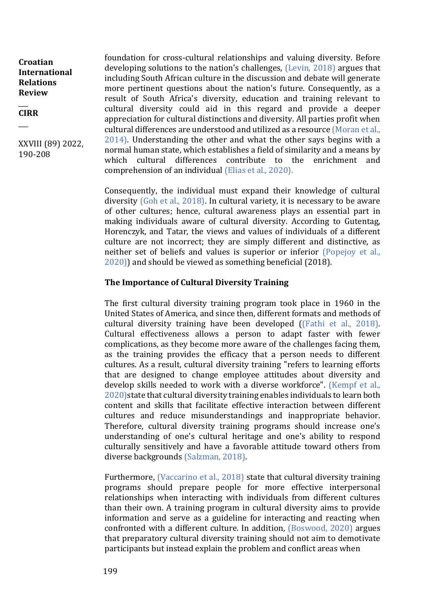$\overline{\phantom{a}}$ **CIRR**

 $\overline{\phantom{a}}$ 

XXVIII (89) 2022, 190-208

foundation for cross-cultural relationships and valuing diversity. Before developing solutions to the nation's challenges, (Levin, 2018) argues that including South African culture in the discussion and debate will generate more pertinent questions about the nation's future. Consequently, as a result of South Africa's diversity, education and training relevant to cultural diversity could aid in this regard and provide a deeper appreciation for cultural distinctions and diversity. All parties profit when cultural differences are understood and utilized as a resource (Moran et al., 2014). Understanding the other and what the other says begins with a normal human state, which establishes a field of similarity and a means by which cultural differences contribute to the enrichment and comprehension of an individual (Elias et al., 2020).

Consequently, the individual must expand their knowledge of cultural diversity (Goh et al., 2018). In cultural variety, it is necessary to be aware of other cultures; hence, cultural awareness plays an essential part in making individuals aware of cultural diversity. According to Gutentag, Horenczyk, and Tatar, the views and values of individuals of a different culture are not incorrect; they are simply different and distinctive, as neither set of beliefs and values is superior or inferior (Popejoy et al., 2020)) and should be viewed as something beneficial (2018).

### **The Importance of Cultural Diversity Training**

The first cultural diversity training program took place in 1960 in the United States of America, and since then, different formats and methods of cultural diversity training have been developed ((Fathi et al., 2018). Cultural effectiveness allows a person to adapt faster with fewer complications, as they become more aware of the challenges facing them, as the training provides the efficacy that a person needs to different cultures. As a result, cultural diversity training "refers to learning efforts that are designed to change employee attitudes about diversity and develop skills needed to work with a diverse workforce". (Kempf et al., 2020)state that cultural diversity training enables individuals to learn both content and skills that facilitate effective interaction between different cultures and reduce misunderstandings and inappropriate behavior. Therefore, cultural diversity training programs should increase one's understanding of one's cultural heritage and one's ability to respond culturally sensitively and have a favorable attitude toward others from diverse backgrounds (Salzman, 2018).

Furthermore, (Vaccarino et al., 2018) state that cultural diversity training programs should prepare people for more effective interpersonal relationships when interacting with individuals from different cultures than their own. A training program in cultural diversity aims to provide information and serve as a guideline for interacting and reacting when confronted with a different culture. In addition, (Boswood, 2020) argues that preparatory cultural diversity training should not aim to demotivate participants but instead explain the problem and conflict areas when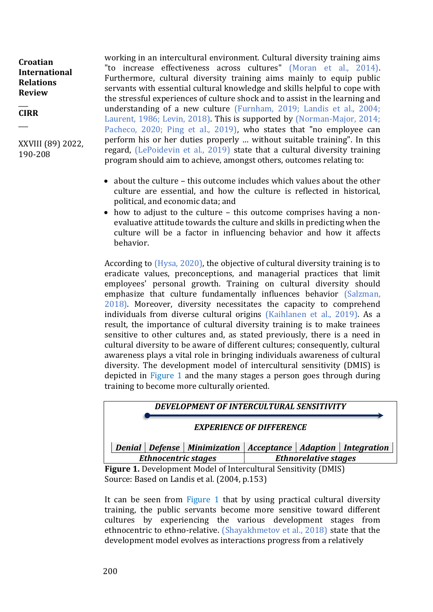$\overline{\phantom{a}}$ **CIRR**

 $\overline{\phantom{a}}$ 

XXVIII (89) 2022, 190-208

working in an intercultural environment. Cultural diversity training aims "to increase effectiveness across cultures" (Moran et al., 2014). Furthermore, cultural diversity training aims mainly to equip public servants with essential cultural knowledge and skills helpful to cope with the stressful experiences of culture shock and to assist in the learning and understanding of a new culture (Furnham, 2019; Landis et al., 2004; Laurent, 1986; Levin, 2018). This is supported by (Norman-Major, 2014; Pacheco, 2020; Ping et al., 2019), who states that "no employee can perform his or her duties properly … without suitable training". In this regard, (LePoidevin et al., 2019) state that a cultural diversity training program should aim to achieve, amongst others, outcomes relating to:

- about the culture this outcome includes which values about the other culture are essential, and how the culture is reflected in historical, political, and economic data; and
- how to adjust to the culture this outcome comprises having a nonevaluative attitude towards the culture and skills in predicting when the culture will be a factor in influencing behavior and how it affects behavior.

According to (Hysa, 2020), the objective of cultural diversity training is to eradicate values, preconceptions, and managerial practices that limit employees' personal growth. Training on cultural diversity should emphasize that culture fundamentally influences behavior (Salzman, 2018). Moreover, diversity necessitates the capacity to comprehend individuals from diverse cultural origins (Kaihlanen et al., 2019). As a result, the importance of cultural diversity training is to make trainees sensitive to other cultures and, as stated previously, there is a need in cultural diversity to be aware of different cultures; consequently, cultural awareness plays a vital role in bringing individuals awareness of cultural diversity. The development model of intercultural sensitivity (DMIS) is depicted in Figure 1 and the many stages a person goes through during training to become more culturally oriented.



**Figure 1.** Development Model of Intercultural Sensitivity (DMIS) Source: Based on Landis et al*.* (2004, p.153)

It can be seen from Figure 1 that by using practical cultural diversity training, the public servants become more sensitive toward different cultures by experiencing the various development stages from ethnocentric to ethno-relative. (Shayakhmetov et al., 2018) state that the development model evolves as interactions progress from a relatively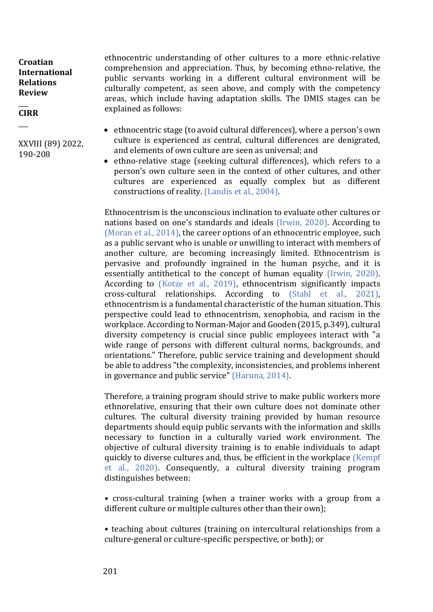$\overline{\phantom{a}}$ **CIRR**

 $\overline{\phantom{a}}$ 

XXVIII (89) 2022, 190-208

ethnocentric understanding of other cultures to a more ethnic-relative comprehension and appreciation. Thus, by becoming ethno-relative, the public servants working in a different cultural environment will be culturally competent, as seen above, and comply with the competency areas, which include having adaptation skills. The DMIS stages can be explained as follows:

- ethnocentric stage (to avoid cultural differences), where a person's own culture is experienced as central, cultural differences are denigrated, and elements of own culture are seen as universal; and
- ethno-relative stage (seeking cultural differences), which refers to a person's own culture seen in the context of other cultures, and other cultures are experienced as equally complex but as different constructions of reality. (Landis et al., 2004).

Ethnocentrism is the unconscious inclination to evaluate other cultures or nations based on one's standards and ideals (Irwin, 2020). According to (Moran et al., 2014), the career options of an ethnocentric employee, such as a public servant who is unable or unwilling to interact with members of another culture, are becoming increasingly limited. Ethnocentrism is pervasive and profoundly ingrained in the human psyche, and it is essentially antithetical to the concept of human equality (Irwin, 2020). According to (Kotze et al., 2019), ethnocentrism significantly impacts cross-cultural relationships. According to (Stahl et al., 2021), ethnocentrism is a fundamental characteristic of the human situation. This perspective could lead to ethnocentrism, xenophobia, and racism in the workplace. According to Norman-Major and Gooden (2015, p.349), cultural diversity competency is crucial since public employees interact with "a wide range of persons with different cultural norms, backgrounds, and orientations." Therefore, public service training and development should be able to address "the complexity, inconsistencies, and problems inherent in governance and public service" (Haruna, 2014).

Therefore, a training program should strive to make public workers more ethnorelative, ensuring that their own culture does not dominate other cultures. The cultural diversity training provided by human resource departments should equip public servants with the information and skills necessary to function in a culturally varied work environment. The objective of cultural diversity training is to enable individuals to adapt quickly to diverse cultures and, thus, be efficient in the workplace (Kempf et al., 2020). Consequently, a cultural diversity training program distinguishes between:

• cross-cultural training (when a trainer works with a group from a different culture or multiple cultures other than their own);

• teaching about cultures (training on intercultural relationships from a culture-general or culture-specific perspective, or both); or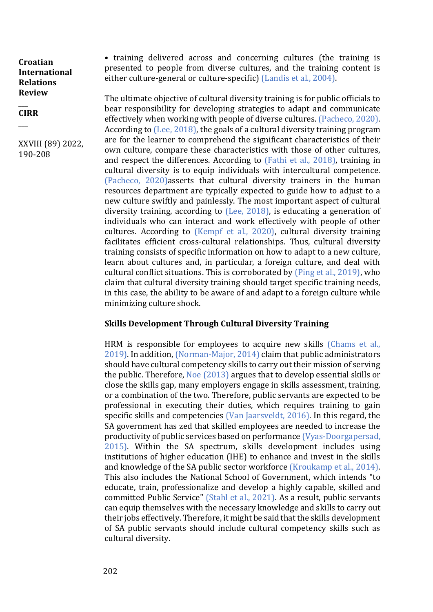$\overline{\phantom{a}}$ **CIRR**

 $\overline{\phantom{a}}$ 

XXVIII (89) 2022, 190-208

• training delivered across and concerning cultures (the training is presented to people from diverse cultures, and the training content is either culture-general or culture-specific) (Landis et al., 2004).

The ultimate objective of cultural diversity training is for public officials to bear responsibility for developing strategies to adapt and communicate effectively when working with people of diverse cultures. (Pacheco, 2020). According to (Lee, 2018), the goals of a cultural diversity training program are for the learner to comprehend the significant characteristics of their own culture, compare these characteristics with those of other cultures, and respect the differences. According to (Fathi et al., 2018), training in cultural diversity is to equip individuals with intercultural competence. (Pacheco, 2020)asserts that cultural diversity trainers in the human resources department are typically expected to guide how to adjust to a new culture swiftly and painlessly. The most important aspect of cultural diversity training, according to (Lee, 2018), is educating a generation of individuals who can interact and work effectively with people of other cultures. According to (Kempf et al., 2020), cultural diversity training facilitates efficient cross-cultural relationships. Thus, cultural diversity training consists of specific information on how to adapt to a new culture, learn about cultures and, in particular, a foreign culture, and deal with cultural conflict situations. This is corroborated by (Ping et al., 2019), who claim that cultural diversity training should target specific training needs, in this case, the ability to be aware of and adapt to a foreign culture while minimizing culture shock.

## **Skills Development Through Cultural Diversity Training**

HRM is responsible for employees to acquire new skills (Chams et al., 2019). In addition, (Norman-Major, 2014) claim that public administrators should have cultural competency skills to carry out their mission of serving the public. Therefore, Noe (2013) argues that to develop essential skills or close the skills gap, many employers engage in skills assessment, training, or a combination of the two. Therefore, public servants are expected to be professional in executing their duties, which requires training to gain specific skills and competencies (Van Jaarsveldt, 2016). In this regard, the SA government has zed that skilled employees are needed to increase the productivity of public services based on performance (Vyas-Doorgapersad, 2015). Within the SA spectrum, skills development includes using institutions of higher education (IHE) to enhance and invest in the skills and knowledge of the SA public sector workforce (Kroukamp et al., 2014). This also includes the National School of Government, which intends "to educate, train, professionalize and develop a highly capable, skilled and committed Public Service" (Stahl et al., 2021). As a result, public servants can equip themselves with the necessary knowledge and skills to carry out their jobs effectively. Therefore, it might be said that the skills development of SA public servants should include cultural competency skills such as cultural diversity.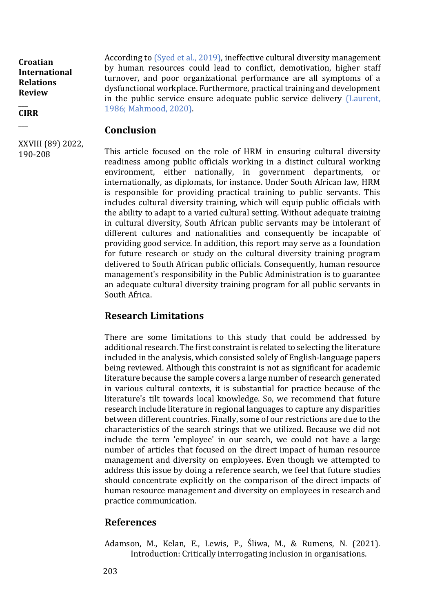$\overline{\phantom{a}}$ **CIRR**

 $\overline{\phantom{a}}$ 

According to (Syed et al., 2019), ineffective cultural diversity management by human resources could lead to conflict, demotivation, higher staff turnover, and poor organizational performance are all symptoms of a dysfunctional workplace. Furthermore, practical training and development in the public service ensure adequate public service delivery (Laurent, 1986; Mahmood, 2020).

## **Conclusion**

XXVIII (89) 2022, 190-208

This article focused on the role of HRM in ensuring cultural diversity readiness among public officials working in a distinct cultural working environment, either nationally, in government departments, or internationally, as diplomats, for instance. Under South African law, HRM is responsible for providing practical training to public servants. This includes cultural diversity training, which will equip public officials with the ability to adapt to a varied cultural setting. Without adequate training in cultural diversity, South African public servants may be intolerant of different cultures and nationalities and consequently be incapable of providing good service. In addition, this report may serve as a foundation for future research or study on the cultural diversity training program delivered to South African public officials. Consequently, human resource management's responsibility in the Public Administration is to guarantee an adequate cultural diversity training program for all public servants in South Africa.

# **Research Limitations**

There are some limitations to this study that could be addressed by additional research. The first constraint is related to selecting the literature included in the analysis, which consisted solely of English-language papers being reviewed. Although this constraint is not as significant for academic literature because the sample covers a large number of research generated in various cultural contexts, it is substantial for practice because of the literature's tilt towards local knowledge. So, we recommend that future research include literature in regional languages to capture any disparities between different countries. Finally, some of our restrictions are due to the characteristics of the search strings that we utilized. Because we did not include the term 'employee' in our search, we could not have a large number of articles that focused on the direct impact of human resource management and diversity on employees. Even though we attempted to address this issue by doing a reference search, we feel that future studies should concentrate explicitly on the comparison of the direct impacts of human resource management and diversity on employees in research and practice communication.

# **References**

Adamson, M., Kelan, E., Lewis, P., Śliwa, M., & Rumens, N. (2021). Introduction: Critically interrogating inclusion in organisations.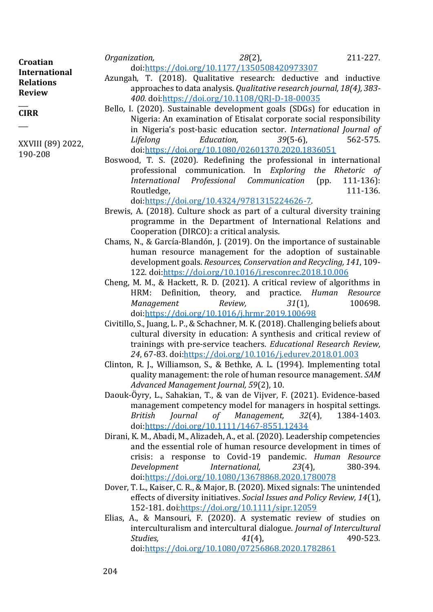| Croatian<br><b>International</b><br><b>Relations</b> | Organization,                                                           |  | $28(2)$ , |  |  | 211-227. |
|------------------------------------------------------|-------------------------------------------------------------------------|--|-----------|--|--|----------|
|                                                      | doi:https://doi.org/10.1177/1350508420973307                            |  |           |  |  |          |
|                                                      | Azungah, T. (2018). Qualitative research: deductive and inductive       |  |           |  |  |          |
| <b>Review</b>                                        | approaches to data analysis. Qualitative research journal, 18(4), 383-  |  |           |  |  |          |
|                                                      | 400. doi:https://doi.org/10.1108/QRJ-D-18-00035                         |  |           |  |  |          |
| <b>CIRR</b>                                          | Bello, I. (2020). Sustainable development goals (SDGs) for education in |  |           |  |  |          |
|                                                      | Nigeria: An examination of Etisalat corporate social responsibility     |  |           |  |  |          |
|                                                      | in Mineralate most boots admostice sostor International Issued of       |  |           |  |  |          |

XXVIII (89) 2022, 190-208

- Bello, I. (2020). Sustainable development goals (SDGs) for education in Nigeria: An examination of Etisalat corporate social responsibility in Nigeria's post-basic education sector. *International Journal of Lifelong Education, 39*(5-6), 562-575. doi[:https://doi.org/10.1080/02601370.2020.1836051](https://doi.org/10.1080/02601370.2020.1836051)
- Boswood, T. S. (2020). Redefining the professional in international professional communication. In *Exploring the Rhetoric of International Professional Communication* (pp. 111-136): Routledge, 111-136.

doi[:https://doi.org/10.4324/9781315224626-7.](https://doi.org/10.4324/9781315224626-7)

- Brewis, A. (2018). Culture shock as part of a cultural diversity training programme in the Department of International Relations and Cooperation (DIRCO): a critical analysis.
- Chams, N., & García-Blandón, J. (2019). On the importance of sustainable human resource management for the adoption of sustainable development goals. *Resources, Conservation and Recycling, 141*, 109- 122. doi[:https://doi.org/10.1016/j.resconrec.2018.10.006](https://doi.org/10.1016/j.resconrec.2018.10.006)
- Cheng, M. M., & Hackett, R. D. (2021). A critical review of algorithms in HRM: Definition, theory, and practice. *Human Resource Management Review, 31*(1), 100698. doi[:https://doi.org/10.1016/j.hrmr.2019.100698](https://doi.org/10.1016/j.hrmr.2019.100698)
- Civitillo, S., Juang, L. P., & Schachner, M. K. (2018). Challenging beliefs about cultural diversity in education: A synthesis and critical review of trainings with pre-service teachers. *Educational Research Review, 24*, 67-83. doi[:https://doi.org/10.1016/j.edurev.2018.01.003](https://doi.org/10.1016/j.edurev.2018.01.003)
- Clinton, R. J., Williamson, S., & Bethke, A. L. (1994). Implementing total quality management: the role of human resource management. *SAM Advanced Management Journal, 59*(2), 10.
- Daouk‐Öyry, L., Sahakian, T., & van de Vijver, F. (2021). Evidence‐based management competency model for managers in hospital settings. *British Journal of Management, 32*(4), 1384-1403. doi[:https://doi.org/10.1111/1467-8551.12434](https://doi.org/10.1111/1467-8551.12434)
- Dirani, K. M., Abadi, M., Alizadeh, A., et al. (2020). Leadership competencies and the essential role of human resource development in times of crisis: a response to Covid-19 pandemic. *Human Resource Development International, 23*(4), 380-394. doi[:https://doi.org/10.1080/13678868.2020.1780078](https://doi.org/10.1080/13678868.2020.1780078)
- Dover, T. L., Kaiser, C. R., & Major, B. (2020). Mixed signals: The unintended effects of diversity initiatives. *Social Issues and Policy Review, 14*(1), 152-181. doi[:https://doi.org/10.1111/sipr.12059](https://doi.org/10.1111/sipr.12059)
- Elias, A., & Mansouri, F. (2020). A systematic review of studies on interculturalism and intercultural dialogue. *Journal of Intercultural Studies,* 41(4), 490-523. doi[:https://doi.org/10.1080/07256868.2020.1782861](https://doi.org/10.1080/07256868.2020.1782861)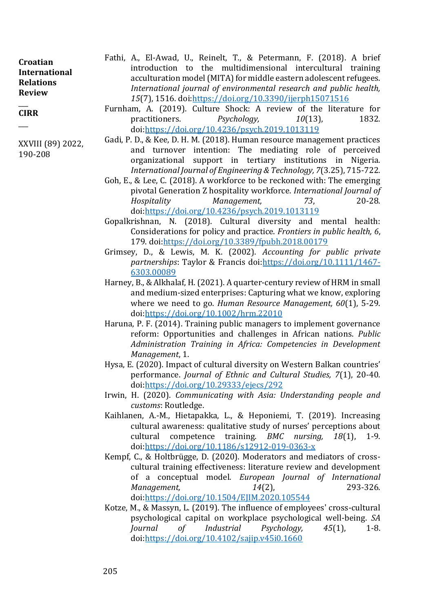$\overline{\phantom{a}}$ **CIRR**

 $\overline{\phantom{a}}$ 

XXVIII (89) 2022, 190-208

- Fathi, A., El-Awad, U., Reinelt, T., & Petermann, F. (2018). A brief introduction to the multidimensional intercultural training acculturation model (MITA) for middle eastern adolescent refugees. *International journal of environmental research and public health, 15*(7), 1516. doi[:https://doi.org/10.3390/ijerph15071516](https://doi.org/10.3390/ijerph15071516)
- Furnham, A. (2019). Culture Shock: A review of the literature for practitioners. *Psychology*, 10(13), 1832. doi[:https://doi.org/10.4236/psych.2019.1013119](https://doi.org/10.4236/psych.2019.1013119)
- Gadi, P. D., & Kee, D. H. M. (2018). Human resource management practices and turnover intention: The mediating role of perceived organizational support in tertiary institutions in Nigeria. *International Journal of Engineering & Technology, 7*(3.25), 715-722.
- Goh, E., & Lee, C. (2018). A workforce to be reckoned with: The emerging pivotal Generation Z hospitality workforce. *International Journal of Hospitality Management, 73*, 20-28. doi[:https://doi.org/10.4236/psych.2019.1013119](https://doi.org/10.4236/psych.2019.1013119)
- Gopalkrishnan, N. (2018). Cultural diversity and mental health: Considerations for policy and practice. *Frontiers in public health, 6*, 179. doi[:https://doi.org/10.3389/fpubh.2018.00179](https://doi.org/10.3389/fpubh.2018.00179)
- Grimsey, D., & Lewis, M. K. (2002). *Accounting for public private partnerships*: Taylor & Francis doi[:https://doi.org/10.1111/1467-](https://doi.org/10.1111/1467-6303.00089) [6303.00089](https://doi.org/10.1111/1467-6303.00089)
- Harney, B., & Alkhalaf, H. (2021). A quarter‐century review of HRM in small and medium‐sized enterprises: Capturing what we know, exploring where we need to go. *Human Resource Management, 60*(1), 5-29. doi[:https://doi.org/10.1002/hrm.22010](https://doi.org/10.1002/hrm.22010)
- Haruna, P. F. (2014). Training public managers to implement governance reform: Opportunities and challenges in African nations. *Public Administration Training in Africa: Competencies in Development Management*, 1.
- Hysa, E. (2020). Impact of cultural diversity on Western Balkan countries' performance. *Journal of Ethnic and Cultural Studies, 7*(1), 20-40. doi[:https://doi.org/10.29333/ejecs/292](https://doi.org/10.29333/ejecs/292)
- Irwin, H. (2020). *Communicating with Asia: Understanding people and customs*: Routledge.
- Kaihlanen, A.-M., Hietapakka, L., & Heponiemi, T. (2019). Increasing cultural awareness: qualitative study of nurses' perceptions about cultural competence training. *BMC nursing, 18*(1), 1-9. doi[:https://doi.org/10.1186/s12912-019-0363-x](https://doi.org/10.1186/s12912-019-0363-x)
- Kempf, C., & Holtbrügge, D. (2020). Moderators and mediators of crosscultural training effectiveness: literature review and development of a conceptual model. *European Journal of International Management, 14*(2), 293-326. doi[:https://doi.org/10.1504/EJIM.2020.105544](https://doi.org/10.1504/EJIM.2020.105544)
- Kotze, M., & Massyn, L. (2019). The influence of employees' cross-cultural psychological capital on workplace psychological well-being. *SA Journal of Industrial Psychology, 45*(1), 1-8. doi[:https://doi.org/10.4102/sajip.v45i0.1660](https://doi.org/10.4102/sajip.v45i0.1660)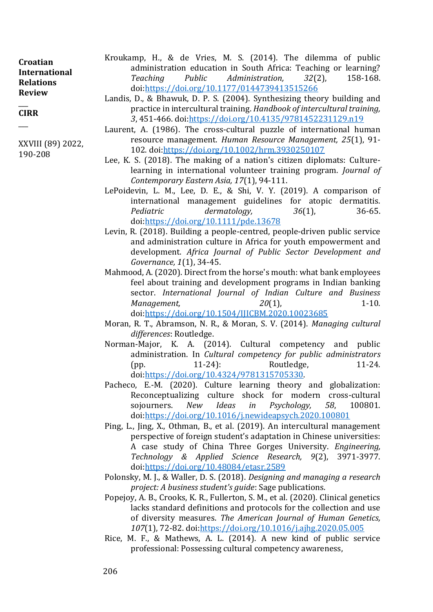| Croatian         |
|------------------|
| International    |
| <b>Relations</b> |
| <b>Review</b>    |

#### $\overline{\phantom{a}}$ **CIRR**

 $\overline{\phantom{a}}$ 

XXVIII (89) 2022, 190-208

- Kroukamp, H., & de Vries, M. S. (2014). The dilemma of public administration education in South Africa: Teaching or learning? *Teaching Public Administration, 32*(2), 158-168. doi[:https://doi.org/10.1177/0144739413515266](https://doi.org/10.1177/0144739413515266)
- Landis, D., & Bhawuk, D. P. S. (2004). Synthesizing theory building and practice in intercultural training. *Handbook of intercultural training, 3*, 451-466. doi[:https://doi.org/10.4135/9781452231129.n19](https://doi.org/10.4135/9781452231129.n19)
- Laurent, A. (1986). The cross-cultural puzzle of international human resource management. *Human Resource Management, 25*(1), 91- 102. doi[:https://doi.org/10.1002/hrm.3930250107](https://doi.org/10.1002/hrm.3930250107)
- Lee, K. S. (2018). The making of a nation's citizen diplomats: Culturelearning in international volunteer training program. *Journal of Contemporary Eastern Asia, 17*(1), 94-111.
- LePoidevin, L. M., Lee, D. E., & Shi, V. Y. (2019). A comparison of international management guidelines for atopic dermatitis. *Pediatric dermatology, 36*(1), 36-65. doi[:https://doi.org/10.1111/pde.13678](https://doi.org/10.1111/pde.13678)
- Levin, R. (2018). Building a people-centred, people-driven public service and administration culture in Africa for youth empowerment and development. *Africa Journal of Public Sector Development and Governance, 1*(1), 34-45.
- Mahmood, A. (2020). Direct from the horse's mouth: what bank employees feel about training and development programs in Indian banking sector. *International Journal of Indian Culture and Business Management,* 20(1), 20(1), 1-10. doi[:https://doi.org/10.1504/IJICBM.2020.10023685](https://doi.org/10.1504/IJICBM.2020.10023685)
- Moran, R. T., Abramson, N. R., & Moran, S. V. (2014). *Managing cultural differences*: Routledge.
- Norman-Major, K. A. (2014). Cultural competency and public administration. In *Cultural competency for public administrators* (pp. 11-24): Routledge, 11-24. doi[:https://doi.org/10.4324/9781315705330.](https://doi.org/10.4324/9781315705330)
- Pacheco, E.-M. (2020). Culture learning theory and globalization: Reconceptualizing culture shock for modern cross-cultural sojourners. *New Ideas in Psychology, 58*, 100801. doi[:https://doi.org/10.1016/j.newideapsych.2020.100801](https://doi.org/10.1016/j.newideapsych.2020.100801)
- Ping, L., Jing, X., Othman, B., et al. (2019). An intercultural management perspective of foreign student's adaptation in Chinese universities: A case study of China Three Gorges University. *Engineering, Technology & Applied Science Research, 9*(2), 3971-3977. doi[:https://doi.org/10.48084/etasr.2589](https://doi.org/10.48084/etasr.2589)
- Polonsky, M. J., & Waller, D. S. (2018). *Designing and managing a research project: A business student's guide*: Sage publications.
- Popejoy, A. B., Crooks, K. R., Fullerton, S. M., et al. (2020). Clinical genetics lacks standard definitions and protocols for the collection and use of diversity measures. *The American Journal of Human Genetics, 107*(1), 72-82. doi[:https://doi.org/10.1016/j.ajhg.2020.05.005](https://doi.org/10.1016/j.ajhg.2020.05.005)
- Rice, M. F., & Mathews, A. L. (2014). A new kind of public service professional: Possessing cultural competency awareness,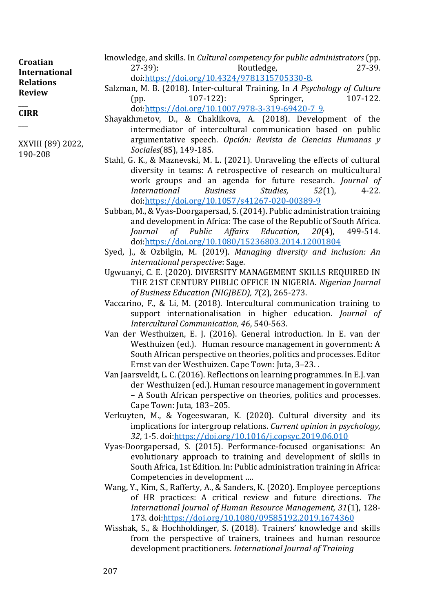knowledge, and skills. In *Cultural competency for public administrators* (pp. 27-39): Routledge, 27-39. doi[:https://doi.org/10.4324/9781315705330-8.](https://doi.org/10.4324/9781315705330-8) Salzman, M. B. (2018). Inter-cultural Training. In *A Psychology of Culture* (pp. 107-122): Springer, 107-122. doi[:https://doi.org/10.1007/978-3-319-69420-7\\_9.](https://doi.org/10.1007/978-3-319-69420-7_9) **Croatian International Relations Review**   $\overline{\phantom{a}}$ 

- Shayakhmetov, D., & Chaklikova, A. (2018). Development of the intermediator of intercultural communication based on public argumentative speech. *Opción: Revista de Ciencias Humanas y Sociales*(85), 149-185.
- Stahl, G. K., & Maznevski, M. L. (2021). Unraveling the effects of cultural diversity in teams: A retrospective of research on multicultural work groups and an agenda for future research. *Journal of International Business Studies, 52*(1), 4-22. doi[:https://doi.org/10.1057/s41267-020-00389-9](https://doi.org/10.1057/s41267-020-00389-9)
- Subban, M., & Vyas-Doorgapersad, S. (2014). Public administration training and development in Africa: The case of the Republic of South Africa. *Journal of Public Affairs Education, 20*(4), 499-514. doi[:https://doi.org/10.1080/15236803.2014.12001804](https://doi.org/10.1080/15236803.2014.12001804)
- Syed, J., & Ozbilgin, M. (2019). *Managing diversity and inclusion: An international perspective*: Sage.
- Ugwuanyi, C. E. (2020). DIVERSITY MANAGEMENT SKILLS REQUIRED IN THE 21ST CENTURY PUBLIC OFFICE IN NIGERIA. *Nigerian Journal of Business Education (NIGJBED), 7*(2), 265-273.
- Vaccarino, F., & Li, M. (2018). Intercultural communication training to support internationalisation in higher education. *Journal of Intercultural Communication, 46*, 540-563.
- Van der Westhuizen, E. J. (2016). General introduction. In E. van der Westhuizen (ed.). Human resource management in government: A South African perspective on theories, politics and processes. Editor Ernst van der Westhuizen. Cape Town: Juta, 3–23. .
- Van Jaarsveldt, L. C. (2016). Reflections on learning programmes. In E.J. van der Westhuizen (ed.). Human resource management in government – A South African perspective on theories, politics and processes. Cape Town: Juta, 183–205.
- Verkuyten, M., & Yogeeswaran, K. (2020). Cultural diversity and its implications for intergroup relations. *Current opinion in psychology, 32*, 1-5. doi[:https://doi.org/10.1016/j.copsyc.2019.06.010](https://doi.org/10.1016/j.copsyc.2019.06.010)
- Vyas-Doorgapersad, S. (2015). Performance-focused organisations: An evolutionary approach to training and development of skills in South Africa, 1st Edition. In: Public administration training in Africa: Competencies in development ….
- Wang, Y., Kim, S., Rafferty, A., & Sanders, K. (2020). Employee perceptions of HR practices: A critical review and future directions. *The International Journal of Human Resource Management, 31*(1), 128- 173. doi[:https://doi.org/10.1080/09585192.2019.1674360](https://doi.org/10.1080/09585192.2019.1674360)
- Wisshak, S., & Hochholdinger, S. (2018). Trainers' knowledge and skills from the perspective of trainers, trainees and human resource development practitioners. *International Journal of Training*

**CIRR**

 $\overline{\phantom{a}}$ 

XXVIII (89) 2022, 190-208